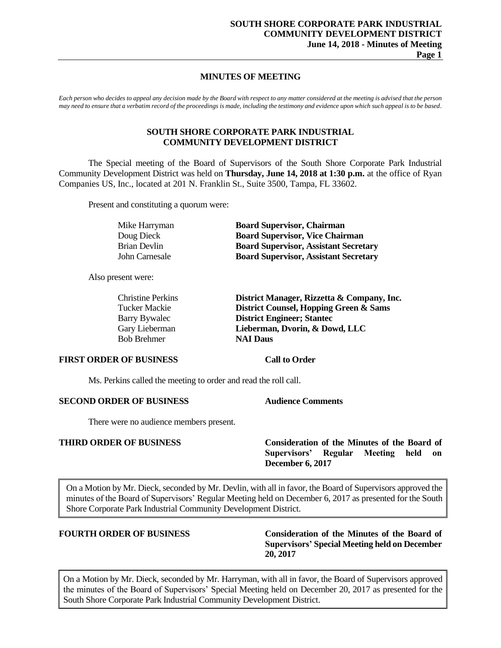# **MINUTES OF MEETING**

*Each person who decides to appeal any decision made by the Board with respect to any matter considered at the meeting is advised that the person may need to ensure that a verbatim record of the proceedings is made, including the testimony and evidence upon which such appeal is to be based.*

### **SOUTH SHORE CORPORATE PARK INDUSTRIAL COMMUNITY DEVELOPMENT DISTRICT**

The Special meeting of the Board of Supervisors of the South Shore Corporate Park Industrial Community Development District was held on **Thursday, June 14, 2018 at 1:30 p.m.** at the office of Ryan Companies US, Inc., located at 201 N. Franklin St., Suite 3500, Tampa, FL 33602.

Present and constituting a quorum were:

| Mike Harryman  | <b>Board Supervisor, Chairman</b>            |
|----------------|----------------------------------------------|
| Doug Dieck     | <b>Board Supervisor, Vice Chairman</b>       |
| Brian Devlin   | <b>Board Supervisor, Assistant Secretary</b> |
| John Carnesale | <b>Board Supervisor, Assistant Secretary</b> |

Also present were:

| <b>Christine Perkins</b> | District Manager, Rizzetta & Company, Inc. |
|--------------------------|--------------------------------------------|
| Tucker Mackie            | District Counsel, Hopping Green & Sams     |
| Barry Bywalec            | <b>District Engineer; Stantec</b>          |
| Gary Lieberman           | Lieberman, Dvorin, & Dowd, LLC             |
| <b>Bob Brehmer</b>       | <b>NAI Daus</b>                            |
|                          |                                            |

#### **FIRST ORDER OF BUSINESS Call to Order**

Ms. Perkins called the meeting to order and read the roll call.

# **SECOND ORDER OF BUSINESS Audience Comments**

There were no audience members present.

**THIRD ORDER OF BUSINESS Consideration of the Minutes of the Board of Supervisors' Regular Meeting held on December 6, 2017**

On a Motion by Mr. Dieck, seconded by Mr. Devlin, with all in favor, the Board of Supervisors approved the minutes of the Board of Supervisors' Regular Meeting held on December 6, 2017 as presented for the South Shore Corporate Park Industrial Community Development District.

**FOURTH ORDER OF BUSINESS Consideration of the Minutes of the Board of Supervisors' Special Meeting held on December 20, 2017**

On a Motion by Mr. Dieck, seconded by Mr. Harryman, with all in favor, the Board of Supervisors approved the minutes of the Board of Supervisors' Special Meeting held on December 20, 2017 as presented for the South Shore Corporate Park Industrial Community Development District.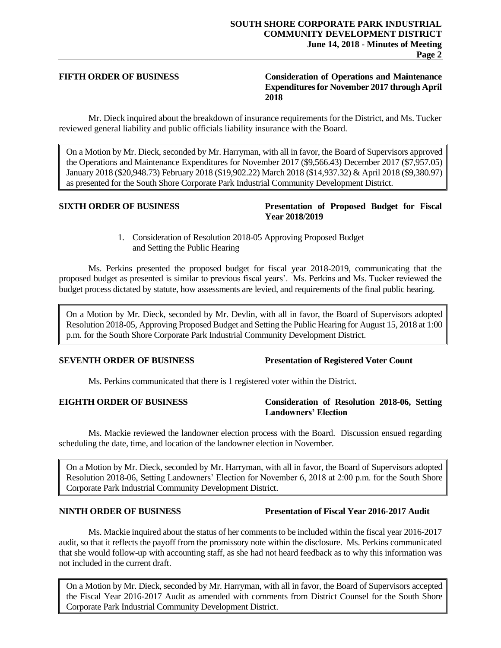### **FIFTH ORDER OF BUSINESS Consideration of Operations and Maintenance Expenditures for November 2017 through April 2018**

Mr. Dieck inquired about the breakdown of insurance requirements for the District, and Ms. Tucker reviewed general liability and public officials liability insurance with the Board.

On a Motion by Mr. Dieck, seconded by Mr. Harryman, with all in favor, the Board of Supervisors approved the Operations and Maintenance Expenditures for November 2017 (\$9,566.43) December 2017 (\$7,957.05) January 2018 (\$20,948.73) February 2018 (\$19,902.22) March 2018 (\$14,937.32) & April 2018 (\$9,380.97) as presented for the South Shore Corporate Park Industrial Community Development District.

### **SIXTH ORDER OF BUSINESS Presentation of Proposed Budget for Fiscal Year 2018/2019**

1. Consideration of Resolution 2018-05 Approving Proposed Budget and Setting the Public Hearing

Ms. Perkins presented the proposed budget for fiscal year 2018-2019, communicating that the proposed budget as presented is similar to previous fiscal years'. Ms. Perkins and Ms. Tucker reviewed the budget process dictated by statute, how assessments are levied, and requirements of the final public hearing.

On a Motion by Mr. Dieck, seconded by Mr. Devlin, with all in favor, the Board of Supervisors adopted Resolution 2018-05, Approving Proposed Budget and Setting the Public Hearing for August 15, 2018 at 1:00 p.m. for the South Shore Corporate Park Industrial Community Development District.

### **SEVENTH ORDER OF BUSINESS Presentation of Registered Voter Count**

Ms. Perkins communicated that there is 1 registered voter within the District.

### **EIGHTH ORDER OF BUSINESS Consideration of Resolution 2018-06, Setting Landowners' Election**

Ms. Mackie reviewed the landowner election process with the Board. Discussion ensued regarding scheduling the date, time, and location of the landowner election in November.

On a Motion by Mr. Dieck, seconded by Mr. Harryman, with all in favor, the Board of Supervisors adopted Resolution 2018-06, Setting Landowners' Election for November 6, 2018 at 2:00 p.m. for the South Shore Corporate Park Industrial Community Development District.

# Ms. Mackie inquired about the status of her comments to be included within the fiscal year 2016-2017 audit, so that it reflects the payoff from the promissory note within the disclosure. Ms. Perkins communicated that she would follow-up with accounting staff, as she had not heard feedback as to why this information was not included in the current draft.

On a Motion by Mr. Dieck, seconded by Mr. Harryman, with all in favor, the Board of Supervisors accepted the Fiscal Year 2016-2017 Audit as amended with comments from District Counsel for the South Shore Corporate Park Industrial Community Development District.

# **NINTH ORDER OF BUSINESS Presentation of Fiscal Year 2016-2017 Audit**